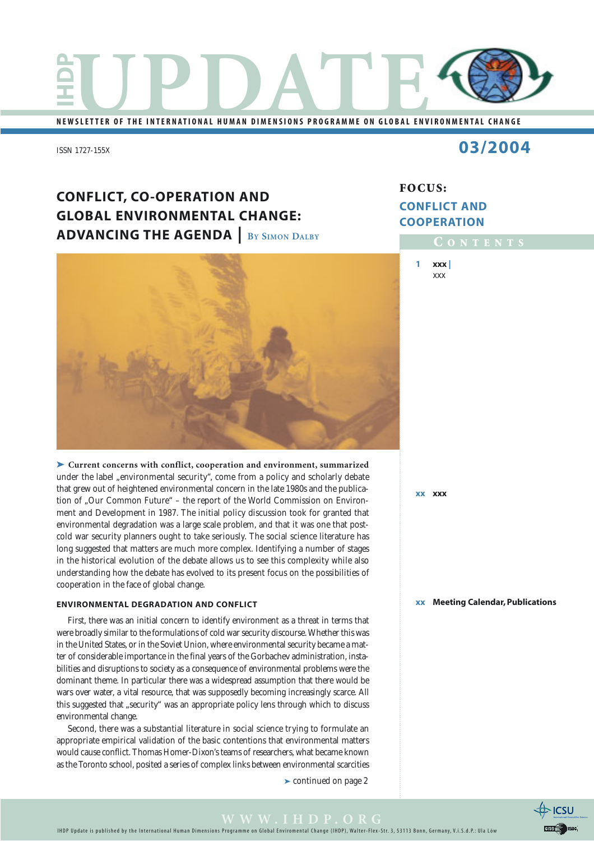

**NEWSLETTER OF THE INTERNATIONAL HUMAN DIMENSIONS PROGRAMME ON GLOBAL ENVIRONMENTAL CHANGE**

ISSN 1727-155X

## **03/2004**

## **CONFLICT, CO-OPERATION AND GLOBAL ENVIRONMENTAL CHANGE: ADVANCING THE AGENDA | BY SIMON DALBY**



➤ **Current concerns with conflict, cooperation and environment, summarized** under the label "environmental security", come from a policy and scholarly debate that grew out of heightened environmental concern in the late 1980s and the publication of "Our Common Future" – the report of the World Commission on Environment and Development in 1987. The initial policy discussion took for granted that environmental degradation was a large scale problem, and that it was one that postcold war security planners ought to take seriously. The social science literature has long suggested that matters are much more complex. Identifying a number of stages in the historical evolution of the debate allows us to see this complexity while also understanding how the debate has evolved to its present focus on the possibilities of cooperation in the face of global change.

#### **ENVIRONMENTAL DEGRADATION AND CONFLICT**

First, there was an initial concern to identify environment as a threat in terms that were broadly similar to the formulations of cold war security discourse. Whether this was in the United States, or in the Soviet Union, where environmental security became a matter of considerable importance in the final years of the Gorbachev administration, instabilities and disruptions to society as a consequence of environmental problems were the dominant theme. In particular there was a widespread assumption that there would be wars over water, a vital resource, that was supposedly becoming increasingly scarce. All this suggested that "security" was an appropriate policy lens through which to discuss environmental change.

Second, there was a substantial literature in social science trying to formulate an appropriate empirical validation of the basic contentions that environmental matters would cause conflict. Thomas Homer-Dixon's teams of researchers, what became known as the Toronto school, posited a series of complex links between environmental scarcities

➤ continued on page 2

## **FOCUS: CONFLICT AND COOPERATION**

**C ONTENTS**

**1 xxx |** xxx

**xx xxx**

**xx Meeting Calendar, Publications**

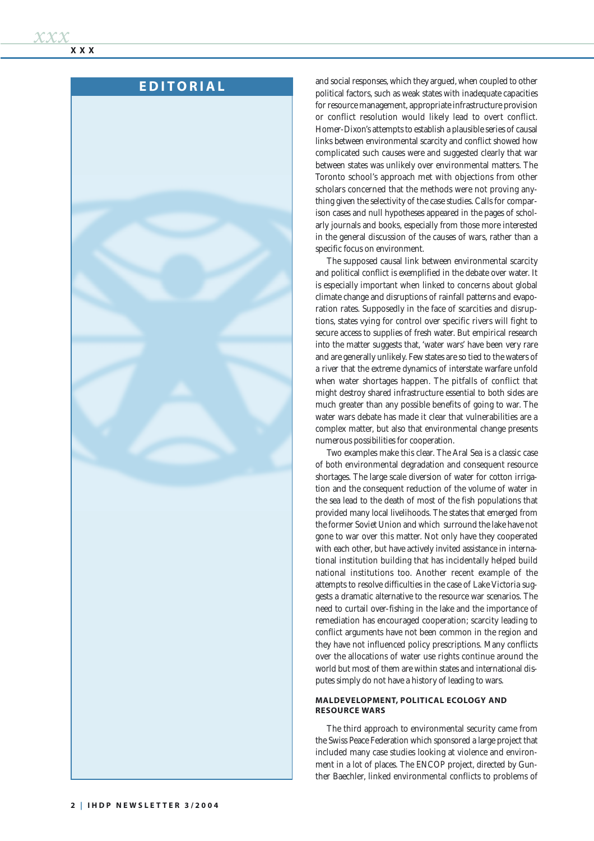## **EDITORIAL**

and social responses, which they argued, when coupled to other political factors, such as weak states with inadequate capacities for resource management, appropriate infrastructure provision or conflict resolution would likely lead to overt conflict. Homer-Dixon's attempts to establish a plausible series of causal links between environmental scarcity and conflict showed how complicated such causes were and suggested clearly that war between states was unlikely over environmental matters. The Toronto school's approach met with objections from other scholars concerned that the methods were not proving anything given the selectivity of the case studies. Calls for comparison cases and null hypotheses appeared in the pages of scholarly journals and books, especially from those more interested in the general discussion of the causes of wars, rather than a specific focus on environment.

The supposed causal link between environmental scarcity and political conflict is exemplified in the debate over water. It is especially important when linked to concerns about global climate change and disruptions of rainfall patterns and evaporation rates. Supposedly in the face of scarcities and disruptions, states vying for control over specific rivers will fight to secure access to supplies of fresh water. But empirical research into the matter suggests that, 'water wars' have been very rare and are generally unlikely. Few states are so tied to the waters of a river that the extreme dynamics of interstate warfare unfold when water shortages happen. The pitfalls of conflict that might destroy shared infrastructure essential to both sides are much greater than any possible benefits of going to war. The water wars debate has made it clear that vulnerabilities are a complex matter, but also that environmental change presents numerous possibilities for cooperation.

Two examples make this clear. The Aral Sea is a classic case of both environmental degradation and consequent resource shortages. The large scale diversion of water for cotton irrigation and the consequent reduction of the volume of water in the sea lead to the death of most of the fish populations that provided many local livelihoods. The states that emerged from the former Soviet Union and which surround the lake have not gone to war over this matter. Not only have they cooperated with each other, but have actively invited assistance in international institution building that has incidentally helped build national institutions too. Another recent example of the attempts to resolve difficulties in the case of Lake Victoria suggests a dramatic alternative to the resource war scenarios. The need to curtail over-fishing in the lake and the importance of remediation has encouraged cooperation; scarcity leading to conflict arguments have not been common in the region and they have not influenced policy prescriptions. Many conflicts over the allocations of water use rights continue around the world but most of them are within states and international disputes simply do not have a history of leading to wars.

#### **MALDEVELOPMENT, POLITICAL ECOLOGY AND RESOURCE WARS**

The third approach to environmental security came from the Swiss Peace Federation which sponsored a large project that included many case studies looking at violence and environment in a lot of places. The ENCOP project, directed by Gunther Baechler, linked environmental conflicts to problems of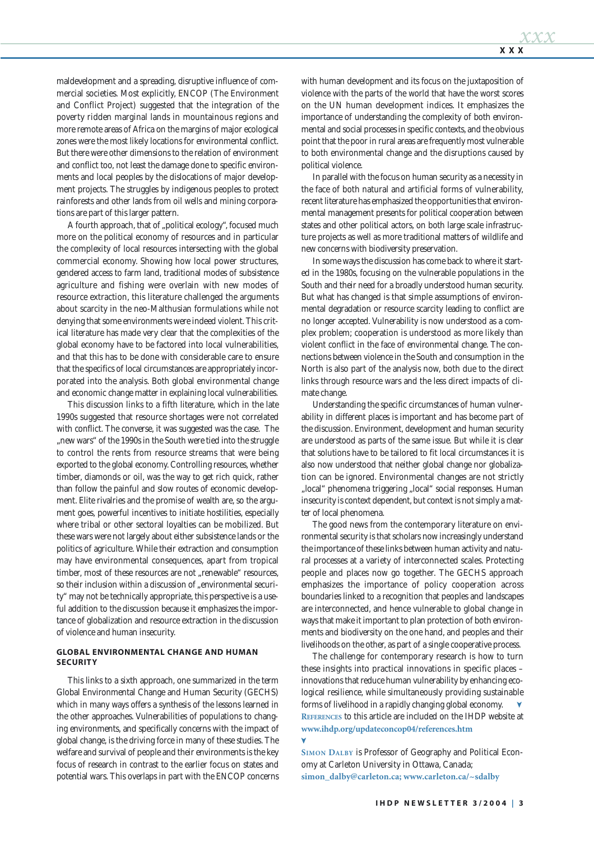maldevelopment and a spreading, disruptive influence of commercial societies. Most explicitly, ENCOP (The Environment and Conflict Project) suggested that the integration of the poverty ridden marginal lands in mountainous regions and more remote areas of Africa on the margins of major ecological zones were the most likely locations for environmental conflict. But there were other dimensions to the relation of environment and conflict too, not least the damage done to specific environments and local peoples by the dislocations of major development projects. The struggles by indigenous peoples to protect rainforests and other lands from oil wells and mining corporations are part of this larger pattern.

A fourth approach, that of "political ecology", focused much more on the political economy of resources and in particular the complexity of local resources intersecting with the global commercial economy. Showing how local power structures, gendered access to farm land, traditional modes of subsistence agriculture and fishing were overlain with new modes of resource extraction, this literature challenged the arguments about scarcity in the neo-Malthusian formulations while not denying that some environments were indeed violent. This critical literature has made very clear that the complexities of the global economy have to be factored into local vulnerabilities, and that this has to be done with considerable care to ensure that the specifics of local circumstances are appropriately incorporated into the analysis. Both global environmental change and economic change matter in explaining local vulnerabilities.

This discussion links to a fifth literature, which in the late 1990s suggested that resource shortages were not correlated with conflict. The converse, it was suggested was the case. The "new wars" of the 1990s in the South were tied into the struggle to control the rents from resource streams that were being exported to the global economy. Controlling resources, whether timber, diamonds or oil, was the way to get rich quick, rather than follow the painful and slow routes of economic development. Elite rivalries and the promise of wealth are, so the argument goes, powerful incentives to initiate hostilities, especially where tribal or other sectoral loyalties can be mobilized. But these wars were not largely about either subsistence lands or the politics of agriculture. While their extraction and consumption may have environmental consequences, apart from tropical timber, most of these resources are not "renewable" resources, so their inclusion within a discussion of "environmental security" may not be technically appropriate, this perspective is a useful addition to the discussion because it emphasizes the importance of globalization and resource extraction in the discussion of violence and human insecurity.

#### **GLOBAL ENVIRONMENTAL CHANGE AND HUMAN SECURITY**

This links to a sixth approach, one summarized in the term Global Environmental Change and Human Security (GECHS) which in many ways offers a synthesis of the lessons learned in the other approaches. Vulnerabilities of populations to changing environments, and specifically concerns with the impact of global change, is the driving force in many of these studies. The welfare and survival of people and their environments is the key focus of research in contrast to the earlier focus on states and potential wars. This overlaps in part with the ENCOP concerns with human development and its focus on the juxtaposition of violence with the parts of the world that have the worst scores on the UN human development indices. It emphasizes the importance of understanding the complexity of both environmental and social processes in specific contexts, and the obvious point that the poor in rural areas are frequently most vulnerable to both environmental change and the disruptions caused by political violence.

In parallel with the focus on human security as a necessity in the face of both natural and artificial forms of vulnerability, recent literature has emphasized the opportunities that environmental management presents for political cooperation between states and other political actors, on both large scale infrastructure projects as well as more traditional matters of wildlife and new concerns with biodiversity preservation.

In some ways the discussion has come back to where it started in the 1980s, focusing on the vulnerable populations in the South and their need for a broadly understood human security. But what has changed is that simple assumptions of environmental degradation or resource scarcity leading to conflict are no longer accepted. Vulnerability is now understood as a complex problem; cooperation is understood as more likely than violent conflict in the face of environmental change. The connections between violence in the South and consumption in the North is also part of the analysis now, both due to the direct links through resource wars and the less direct impacts of climate change.

Understanding the specific circumstances of human vulnerability in different places is important and has become part of the discussion. Environment, development and human security are understood as parts of the same issue. But while it is clear that solutions have to be tailored to fit local circumstances it is also now understood that neither global change nor globalization can be ignored. Environmental changes are not strictly "local" phenomena triggering "local" social responses. Human insecurity is context dependent, but context is not simply a matter of local phenomena.

The good news from the contemporary literature on environmental security is that scholars now increasingly understand the importance of these links between human activity and natural processes at a variety of interconnected scales. Protecting people and places now go together. The GECHS approach emphasizes the importance of policy cooperation across boundaries linked to a recognition that peoples and landscapes are interconnected, and hence vulnerable to global change in ways that make it important to plan protection of both environments and biodiversity on the one hand, and peoples and their livelihoods on the other, as part of a single cooperative process.

The challenge for contemporary research is how to turn these insights into practical innovations in specific places – innovations that reduce human vulnerability by enhancing ecological resilience, while simultaneously providing sustainable forms of livelihood in a rapidly changing global economy. **REFERENCES** to this article are included on the IHDP website at **www.ihdp.org/updateconcop04/references.htm**

**SIMON DALBY** is Professor of Geography and Political Economy at Carleton University in Ottawa, Canada; **simon\_dalby@carleton.ca; www.carleton.ca/~sdalby**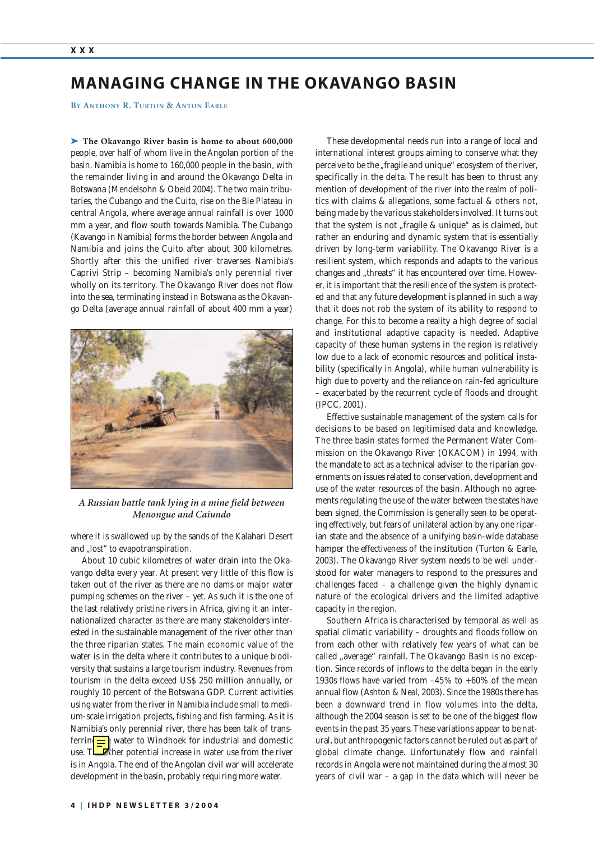## **MANAGING CHANGE IN THE OKAVANGO BASIN**

**BY ANTHONY R. TURTON & ANTON EARLE**

➤ **The Okavango River basin is home to about 600,000** people, over half of whom live in the Angolan portion of the basin. Namibia is home to 160,000 people in the basin, with the remainder living in and around the Okavango Delta in Botswana (Mendelsohn & Obeid 2004). The two main tributaries, the Cubango and the Cuito, rise on the Bie Plateau in central Angola, where average annual rainfall is over 1000 mm a year, and flow south towards Namibia. The Cubango (Kavango in Namibia) forms the border between Angola and Namibia and joins the Cuito after about 300 kilometres. Shortly after this the unified river traverses Namibia's Caprivi Strip – becoming Namibia's only perennial river wholly on its territory. The Okavango River does not flow into the sea, terminating instead in Botswana as the Okavango Delta (average annual rainfall of about 400 mm a year)



*A Russian battle tank lying in a mine field between Menongue and Caiundo*

where it is swallowed up by the sands of the Kalahari Desert and "lost" to evapotranspiration.

About 10 cubic kilometres of water drain into the Okavango delta every year. At present very little of this flow is taken out of the river as there are no dams or major water pumping schemes on the river – yet. As such it is the one of the last relatively pristine rivers in Africa, giving it an internationalized character as there are many stakeholders interested in the sustainable management of the river other than the three riparian states. The main economic value of the water is in the delta where it contributes to a unique biodiversity that sustains a large tourism industry. Revenues from tourism in the delta exceed US\$ 250 million annually, or roughly 10 percent of the Botswana GDP. Current activities using water from the river in Namibia include small to medium-scale irrigation projects, fishing and fish farming. As it is Namibia's only perennial river, there has been talk of transferrin $\boxed{\equiv}$  water to Windhoek for industrial and domestic use.  $T\Box$  ther potential increase in water use from the river is in Angola. The end of the Angolan civil war will accelerate development in the basin, probably requiring more water.

These developmental needs run into a range of local and international interest groups aiming to conserve what they perceive to be the "fragile and unique" ecosystem of the river, specifically in the delta. The result has been to thrust any mention of development of the river into the realm of politics with claims & allegations, some factual & others not, being made by the various stakeholders involved. It turns out that the system is not "fragile & unique" as is claimed, but rather an enduring and dynamic system that is essentially driven by long-term variability. The Okavango River is a resilient system, which responds and adapts to the various changes and "threats" it has encountered over time. However, it is important that the resilience of the system is protected and that any future development is planned in such a way that it does not rob the system of its ability to respond to change. For this to become a reality a high degree of social and institutional adaptive capacity is needed. Adaptive capacity of these human systems in the region is relatively low due to a lack of economic resources and political instability (specifically in Angola), while human vulnerability is high due to poverty and the reliance on rain-fed agriculture – exacerbated by the recurrent cycle of floods and drought (IPCC, 2001).

Effective sustainable management of the system calls for decisions to be based on legitimised data and knowledge. The three basin states formed the Permanent Water Commission on the Okavango River (OKACOM) in 1994, with the mandate to act as a technical adviser to the riparian governments on issues related to conservation, development and use of the water resources of the basin. Although no agreements regulating the use of the water between the states have been signed, the Commission is generally seen to be operating effectively, but fears of unilateral action by any one riparian state and the absence of a unifying basin-wide database hamper the effectiveness of the institution (Turton & Earle, 2003). The Okavango River system needs to be well understood for water managers to respond to the pressures and challenges faced – a challenge given the highly dynamic nature of the ecological drivers and the limited adaptive capacity in the region.

Southern Africa is characterised by temporal as well as spatial climatic variability – droughts and floods follow on from each other with relatively few years of what can be called "average" rainfall. The Okavango Basin is no exception. Since records of inflows to the delta began in the early 1930s flows have varied from –45% to +60% of the mean annual flow (Ashton & Neal, 2003). Since the 1980s there has been a downward trend in flow volumes into the delta, although the 2004 season is set to be one of the biggest flow events in the past 35 years. These variations appear to be natural, but anthropogenic factors cannot be ruled out as part of global climate change. Unfortunately flow and rainfall records in Angola were not maintained during the almost 30 years of civil war – a gap in the data which will never be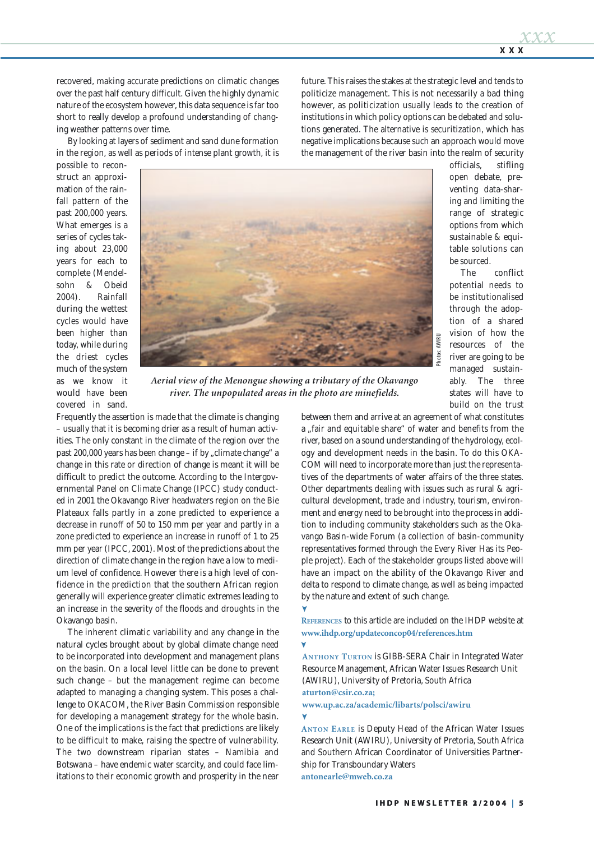recovered, making accurate predictions on climatic changes over the past half century difficult. Given the highly dynamic nature of the ecosystem however, this data sequence is far too short to really develop a profound understanding of changing weather patterns over time.

By looking at layers of sediment and sand dune formation in the region, as well as periods of intense plant growth, it is future. This raises the stakes at the strategic level and tends to politicize management. This is not necessarily a bad thing however, as politicization usually leads to the creation of institutions in which policy options can be debated and solutions generated. The alternative is securitization, which has negative implications because such an approach would move the management of the river basin into the realm of security

possible to reconstruct an approximation of the rainfall pattern of the past 200,000 years. What emerges is a series of cycles taking about 23,000 years for each to complete (Mendelsohn & Obeid 2004). Rainfall during the wettest cycles would have been higher than today, while during the driest cycles much of the system as we know it would have been covered in sand.



*river. The unpopulated areas in the photo are minefields.*

Frequently the assertion is made that the climate is changing – usually that it is becoming drier as a result of human activities. The only constant in the climate of the region over the past 200,000 years has been change - if by "climate change" a change in this rate or direction of change is meant it will be difficult to predict the outcome. According to the Intergovernmental Panel on Climate Change (IPCC) study conducted in 2001 the Okavango River headwaters region on the Bie Plateaux falls partly in a zone predicted to experience a decrease in runoff of 50 to 150 mm per year and partly in a zone predicted to experience an increase in runoff of 1 to 25 mm per year (IPCC, 2001). Most of the predictions about the direction of climate change in the region have a low to medium level of confidence. However there is a high level of confidence in the prediction that the southern African region generally will experience greater climatic extremes leading to an increase in the severity of the floods and droughts in the Okavango basin.

The inherent climatic variability and any change in the natural cycles brought about by global climate change need to be incorporated into development and management plans on the basin. On a local level little can be done to prevent such change – but the management regime can become adapted to managing a changing system. This poses a challenge to OKACOM, the River Basin Commission responsible for developing a management strategy for the whole basin. One of the implications is the fact that predictions are likely to be difficult to make, raising the spectre of vulnerability. The two downstream riparian states – Namibia and Botswana – have endemic water scarcity, and could face limitations to their economic growth and prosperity in the near officials, stifling open debate, preventing data-sharing and limiting the range of strategic options from which sustainable & equitable solutions can be sourced.

The conflict potential needs to be institutionalised through the adoption of a shared vision of how the resources of the river are going to be managed sustainably. The three states will have to build on the trust

between them and arrive at an agreement of what constitutes a "fair and equitable share" of water and benefits from the river, based on a sound understanding of the hydrology, ecology and development needs in the basin. To do this OKA-COM will need to incorporate more than just the representatives of the departments of water affairs of the three states. Other departments dealing with issues such as rural & agricultural development, trade and industry, tourism, environment and energy need to be brought into the process in addition to including community stakeholders such as the Okavango Basin-wide Forum (a collection of basin-community representatives formed through the Every River Has its People project). Each of the stakeholder groups listed above will have an impact on the ability of the Okavango River and delta to respond to climate change, as well as being impacted by the nature and extent of such change. Aerial view of the Menongue showing a tributary of the Okavango<br> **2004 Example 2004 Example a 2004 Example a Example a Example a Example a Example a Example a** *x* **<b>Example a** *x* **Example a** *x* **Ex** 

**REFERENCES** to this article are included on the IHDP website at **www.ihdp.org/updateconcop04/references.htm**

**ANTHONY TURTON** is GIBB-SERA Chair in Integrated Water Resource Management, African Water Issues Research Unit (AWIRU), University of Pretoria, South Africa **aturton@csir.co.za;**

**www.up.ac.za/academic/libarts/polsci/awiru**

**ANTON EARLE** is Deputy Head of the African Water Issues Research Unit (AWIRU), University of Pretoria, South Africa and Southern African Coordinator of Universities Partnership for Transboundary Waters **antonearle@mweb.co.za**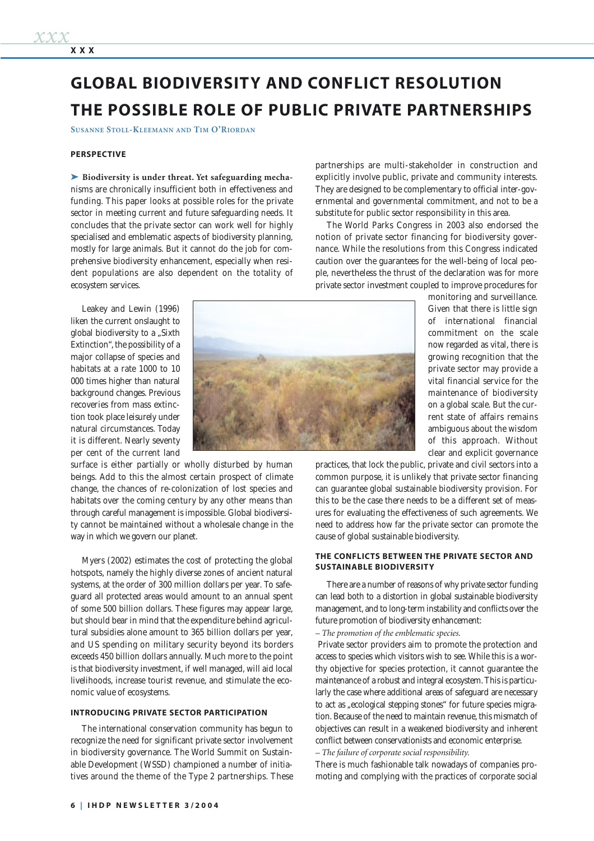# **GLOBAL BIODIVERSITY AND CONFLICT RESOLUTION THE POSSIBLE ROLE OF PUBLIC PRIVATE PARTNERSHIPS**

**SUSANNE STOLL-KLEEMANN AND TIM O'RIORDAN**

#### **PERSPECTIVE**

➤ **Biodiversity is under threat. Yet safeguarding mecha**nisms are chronically insufficient both in effectiveness and funding. This paper looks at possible roles for the private sector in meeting current and future safeguarding needs. It concludes that the private sector can work well for highly specialised and emblematic aspects of biodiversity planning, mostly for large animals. But it cannot do the job for comprehensive biodiversity enhancement, especially when resident populations are also dependent on the totality of ecosystem services.

Leakey and Lewin (1996) liken the current onslaught to global biodiversity to a "Sixth Extinction", the possibility of a major collapse of species and habitats at a rate 1000 to 10 000 times higher than natural background changes. Previous recoveries from mass extinction took place leisurely under natural circumstances. Today it is different. Nearly seventy per cent of the current land

surface is either partially or wholly disturbed by human beings. Add to this the almost certain prospect of climate change, the chances of re-colonization of lost species and habitats over the coming century by any other means than through careful management is impossible. Global biodiversity cannot be maintained without a wholesale change in the way in which we govern our planet.

Myers (2002) estimates the cost of protecting the global hotspots, namely the highly diverse zones of ancient natural systems, at the order of 300 million dollars per year. To safeguard all protected areas would amount to an annual spent of some 500 billion dollars. These figures may appear large, but should bear in mind that the expenditure behind agricultural subsidies alone amount to 365 billion dollars per year, and US spending on military security beyond its borders exceeds 450 billion dollars annually. Much more to the point is that biodiversity investment, if well managed, will aid local livelihoods, increase tourist revenue, and stimulate the economic value of ecosystems.

#### **INTRODUCING PRIVATE SECTOR PARTICIPATION**

The international conservation community has begun to recognize the need for significant private sector involvement in biodiversity governance. The World Summit on Sustainable Development (WSSD) championed a number of initiatives around the theme of the Type 2 partnerships. These

partnerships are multi-stakeholder in construction and explicitly involve public, private and community interests. They are designed to be complementary to official inter-governmental and governmental commitment, and not to be a substitute for public sector responsibility in this area.

The World Parks Congress in 2003 also endorsed the notion of private sector financing for biodiversity governance. While the resolutions from this Congress indicated caution over the guarantees for the well-being of local people, nevertheless the thrust of the declaration was for more private sector investment coupled to improve procedures for

monitoring and surveillance. Given that there is little sign of international financial commitment on the scale now regarded as vital, there is growing recognition that the private sector may provide a vital financial service for the maintenance of biodiversity on a global scale. But the current state of affairs remains ambiguous about the wisdom of this approach. Without clear and explicit governance

practices, that lock the public, private and civil sectors into a common purpose, it is unlikely that private sector financing can guarantee global sustainable biodiversity provision. For this to be the case there needs to be a different set of measures for evaluating the effectiveness of such agreements. We need to address how far the private sector can promote the cause of global sustainable biodiversity.

#### **THE CONFLICTS BETWEEN THE PRIVATE SECTOR AND SUSTAINABLE BIODIVERSITY**

There are a number of reasons of why private sector funding can lead both to a distortion in global sustainable biodiversity management, and to long-term instability and conflicts over the future promotion of biodiversity enhancement:

*– The promotion of the emblematic species.*

Private sector providers aim to promote the protection and access to species which visitors wish to see. While this is a worthy objective for species protection, it cannot guarantee the maintenance of a robust and integral ecosystem. This is particularly the case where additional areas of safeguard are necessary to act as "ecological stepping stones" for future species migration. Because of the need to maintain revenue, this mismatch of objectives can result in a weakened biodiversity and inherent conflict between conservationists and economic enterprise.

*– The failure of corporate social responsibility.*

There is much fashionable talk nowadays of companies promoting and complying with the practices of corporate social

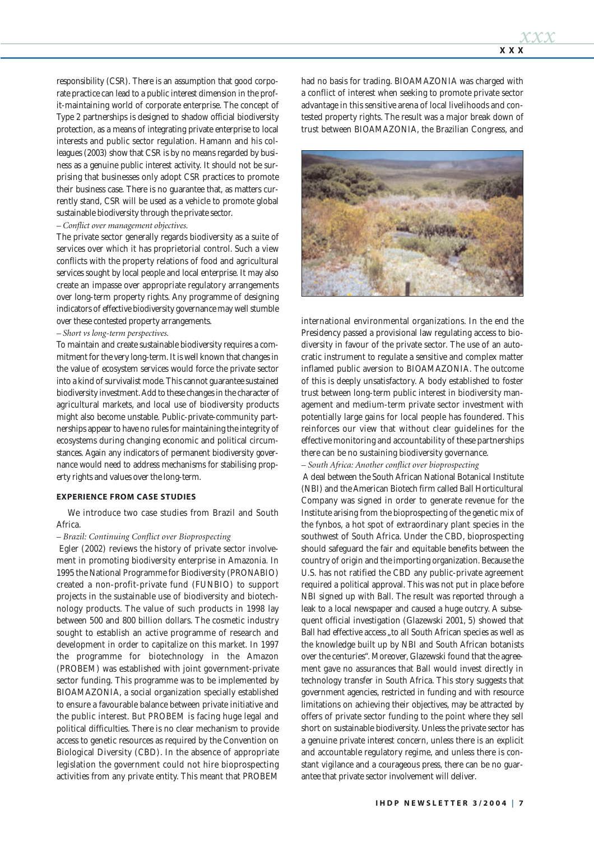responsibility (CSR). There is an assumption that good corporate practice can lead to a public interest dimension in the profit-maintaining world of corporate enterprise. The concept of Type 2 partnerships is designed to shadow official biodiversity protection, as a means of integrating private enterprise to local interests and public sector regulation. Hamann and his colleagues (2003) show that CSR is by no means regarded by business as a genuine public interest activity. It should not be surprising that businesses only adopt CSR practices to promote their business case. There is no guarantee that, as matters currently stand, CSR will be used as a vehicle to promote global sustainable biodiversity through the private sector.

### *– Conflict over management objectives.*

The private sector generally regards biodiversity as a suite of services over which it has proprietorial control. Such a view conflicts with the property relations of food and agricultural services sought by local people and local enterprise. It may also create an impasse over appropriate regulatory arrangements over long-term property rights. Any programme of designing indicators of effective biodiversity governance may well stumble over these contested property arrangements.

#### *– Short vs long-term perspectives.*

To maintain and create sustainable biodiversity requires a commitment for the very long-term. It is well known that changes in the value of ecosystem services would force the private sector into a kind of survivalist mode. This cannot guarantee sustained biodiversity investment. Add to these changes in the character of agricultural markets, and local use of biodiversity products might also become unstable. Public-private-community partnerships appear to have no rules for maintaining the integrity of ecosystems during changing economic and political circumstances. Again any indicators of permanent biodiversity governance would need to address mechanisms for stabilising property rights and values over the long-term.

#### **EXPERIENCE FROM CASE STUDIES**

We introduce two case studies from Brazil and South Africa.

#### *– Brazil: Continuing Conflict over Bioprospecting*

Egler (2002) reviews the history of private sector involvement in promoting biodiversity enterprise in Amazonia. In 1995 the National Programme for Biodiversity (PRONABIO) created a non-profit-private fund (FUNBIO) to support projects in the sustainable use of biodiversity and biotechnology products. The value of such products in 1998 lay between 500 and 800 billion dollars. The cosmetic industry sought to establish an active programme of research and development in order to capitalize on this market. In 1997 the programme for biotechnology in the Amazon (PROBEM) was established with joint government-private sector funding. This programme was to be implemented by BIOAMAZONIA, a social organization specially established to ensure a favourable balance between private initiative and the public interest. But PROBEM is facing huge legal and political difficulties. There is no clear mechanism to provide access to genetic resources as required by the Convention on Biological Diversity (CBD). In the absence of appropriate legislation the government could not hire bioprospecting activities from any private entity. This meant that PROBEM had no basis for trading. BIOAMAZONIA was charged with a conflict of interest when seeking to promote private sector advantage in this sensitive arena of local livelihoods and contested property rights. The result was a major break down of trust between BIOAMAZONIA, the Brazilian Congress, and



international environmental organizations. In the end the Presidency passed a provisional law regulating access to biodiversity in favour of the private sector. The use of an autocratic instrument to regulate a sensitive and complex matter inflamed public aversion to BIOAMAZONIA. The outcome of this is deeply unsatisfactory. A body established to foster trust between long-term public interest in biodiversity management and medium-term private sector investment with potentially large gains for local people has foundered. This reinforces our view that without clear guidelines for the effective monitoring and accountability of these partnerships there can be no sustaining biodiversity governance.

#### *– South Africa: Another conflict over bioprospecting*

A deal between the South African National Botanical Institute (NBI) and the American Biotech firm called Ball Horticultural Company was signed in order to generate revenue for the Institute arising from the bioprospecting of the genetic mix of the fynbos, a hot spot of extraordinary plant species in the southwest of South Africa. Under the CBD, bioprospecting should safeguard the fair and equitable benefits between the country of origin and the importing organization. Because the U.S. has not ratified the CBD any public-private agreement required a political approval. This was not put in place before NBI signed up with Ball. The result was reported through a leak to a local newspaper and caused a huge outcry. A subsequent official investigation (Glazewski 2001, 5) showed that Ball had effective access "to all South African species as well as the knowledge built up by NBI and South African botanists over the centuries". Moreover, Glazewski found that the agreement gave no assurances that Ball would invest directly in technology transfer in South Africa. This story suggests that government agencies, restricted in funding and with resource limitations on achieving their objectives, may be attracted by offers of private sector funding to the point where they sell short on sustainable biodiversity. Unless the private sector has a genuine private interest concern, unless there is an explicit and accountable regulatory regime, and unless there is constant vigilance and a courageous press, there can be no guarantee that private sector involvement will deliver.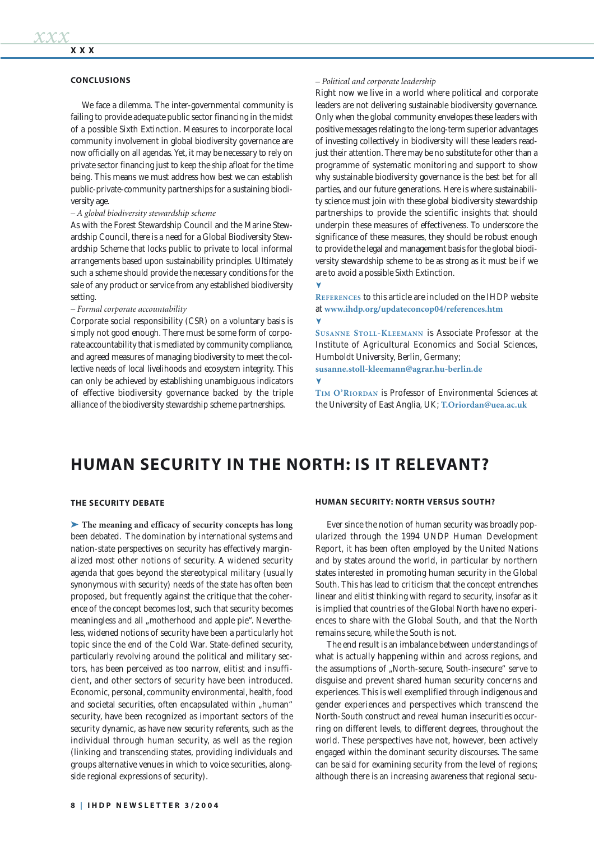#### **CONCLUSIONS**

We face a dilemma. The inter-governmental community is failing to provide adequate public sector financing in the midst of a possible Sixth Extinction. Measures to incorporate local community involvement in global biodiversity governance are now officially on all agendas. Yet, it may be necessary to rely on private sector financing just to keep the ship afloat for the time being. This means we must address how best we can establish public-private-community partnerships for a sustaining biodiversity age.

#### *– A global biodiversity stewardship scheme*

As with the Forest Stewardship Council and the Marine Stewardship Council, there is a need for a Global Biodiversity Stewardship Scheme that locks public to private to local informal arrangements based upon sustainability principles. Ultimately such a scheme should provide the necessary conditions for the sale of any product or service from any established biodiversity setting.

#### *– Formal corporate accountability*

Corporate social responsibility (CSR) on a voluntary basis is simply not good enough. There must be some form of corporate accountability that is mediated by community compliance, and agreed measures of managing biodiversity to meet the collective needs of local livelihoods and ecosystem integrity. This can only be achieved by establishing unambiguous indicators of effective biodiversity governance backed by the triple alliance of the biodiversity stewardship scheme partnerships.

#### *– Political and corporate leadership*

Right now we live in a world where political and corporate leaders are not delivering sustainable biodiversity governance. Only when the global community envelopes these leaders with positive messages relating to the long-term superior advantages of investing collectively in biodiversity will these leaders readjust their attention. There may be no substitute for other than a programme of systematic monitoring and support to show why sustainable biodiversity governance is the best bet for all parties, and our future generations. Here is where sustainability science must join with these global biodiversity stewardship partnerships to provide the scientific insights that should underpin these measures of effectiveness. To underscore the significance of these measures, they should be robust enough to provide the legal and management basis for the global biodiversity stewardship scheme to be as strong as it must be if we are to avoid a possible Sixth Extinction.

**REFERENCES** to this article are included on the IHDP website at **www.ihdp.org/updateconcop04/references.htm** ۷

**SUSANNE STOLL-KLEEMANN** is Associate Professor at the Institute of Agricultural Economics and Social Sciences, Humboldt University, Berlin, Germany;

**susanne.stoll-kleemann@agrar.hu-berlin.de**

**TIM O'RIORDAN** is Professor of Environmental Sciences at the University of East Anglia, UK; **T.Oriordan@uea.ac.uk**

## **HUMAN SECURITY IN THE NORTH: IS IT RELEVANT?**

#### **THE SECURITY DEBATE**

➤ **The meaning and efficacy of security concepts has long** been debated. The domination by international systems and nation-state perspectives on security has effectively marginalized most other notions of security. A widened security agenda that goes beyond the stereotypical military (usually synonymous with security) needs of the state has often been proposed, but frequently against the critique that the coherence of the concept becomes lost, such that security becomes meaningless and all "motherhood and apple pie". Nevertheless, widened notions of security have been a particularly hot topic since the end of the Cold War. State-defined security, particularly revolving around the political and military sectors, has been perceived as too narrow, elitist and insufficient, and other sectors of security have been introduced. Economic, personal, community environmental, health, food and societal securities, often encapsulated within "human" security, have been recognized as important sectors of the security dynamic, as have new security referents, such as the individual through human security, as well as the region (linking and transcending states, providing individuals and groups alternative venues in which to voice securities, alongside regional expressions of security).

#### **HUMAN SECURITY: NORTH VERSUS SOUTH?**

Ever since the notion of human security was broadly popularized through the 1994 UNDP Human Development Report, it has been often employed by the United Nations and by states around the world, in particular by northern states interested in promoting human security in the Global South. This has lead to criticism that the concept entrenches linear and elitist thinking with regard to security, insofar as it is implied that countries of the Global North have no experiences to share with the Global South, and that the North remains secure, while the South is not.

The end result is an imbalance between understandings of what is actually happening within and across regions, and the assumptions of "North-secure, South-insecure" serve to disguise and prevent shared human security concerns and experiences. This is well exemplified through indigenous and gender experiences and perspectives which transcend the North-South construct and reveal human insecurities occurring on different levels, to different degrees, throughout the world. These perspectives have not, however, been actively engaged within the dominant security discourses. The same can be said for examining security from the level of regions; although there is an increasing awareness that regional secu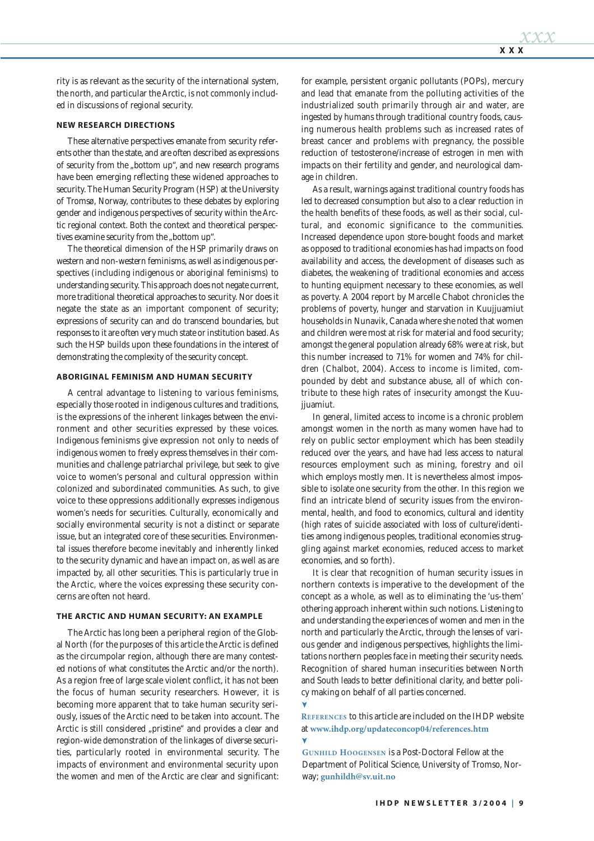rity is as relevant as the security of the international system, the north, and particular the Arctic, is not commonly included in discussions of regional security.

#### **NEW RESEARCH DIRECTIONS**

These alternative perspectives emanate from security referents other than the state, and are often described as expressions of security from the "bottom up", and new research programs have been emerging reflecting these widened approaches to security. The Human Security Program (HSP) at the University of Tromsø, Norway, contributes to these debates by exploring gender and indigenous perspectives of security within the Arctic regional context. Both the context and theoretical perspectives examine security from the "bottom up".

The theoretical dimension of the HSP primarily draws on western and non-western feminisms, as well as indigenous perspectives (including indigenous or aboriginal feminisms) to understanding security. This approach does not negate current, more traditional theoretical approaches to security. Nor does it negate the state as an important component of security; expressions of security can and do transcend boundaries, but responses to it are often very much state or institution based. As such the HSP builds upon these foundations in the interest of demonstrating the complexity of the security concept.

#### **ABORIGINAL FEMINISM AND HUMAN SECURITY**

A central advantage to listening to various feminisms, especially those rooted in indigenous cultures and traditions, is the expressions of the inherent linkages between the environment and other securities expressed by these voices. Indigenous feminisms give expression not only to needs of indigenous women to freely express themselves in their communities and challenge patriarchal privilege, but seek to give voice to women's personal and cultural oppression within colonized and subordinated communities. As such, to give voice to these oppressions additionally expresses indigenous women's needs for securities. Culturally, economically and socially environmental security is not a distinct or separate issue, but an integrated core of these securities. Environmental issues therefore become inevitably and inherently linked to the security dynamic and have an impact on, as well as are impacted by, all other securities. This is particularly true in the Arctic, where the voices expressing these security concerns are often not heard.

#### **THE ARCTIC AND HUMAN SECURITY: AN EXAMPLE**

The Arctic has long been a peripheral region of the Global North (for the purposes of this article the Arctic is defined as the circumpolar region, although there are many contested notions of what constitutes the Arctic and/or the north). As a region free of large scale violent conflict, it has not been the focus of human security researchers. However, it is becoming more apparent that to take human security seriously, issues of the Arctic need to be taken into account. The Arctic is still considered "pristine" and provides a clear and region-wide demonstration of the linkages of diverse securities, particularly rooted in environmental security. The impacts of environment and environmental security upon the women and men of the Arctic are clear and significant: for example, persistent organic pollutants (POPs), mercury and lead that emanate from the polluting activities of the industrialized south primarily through air and water, are ingested by humans through traditional country foods, causing numerous health problems such as increased rates of breast cancer and problems with pregnancy, the possible reduction of testosterone/increase of estrogen in men with impacts on their fertility and gender, and neurological damage in children.

As a result, warnings against traditional country foods has led to decreased consumption but also to a clear reduction in the health benefits of these foods, as well as their social, cultural, and economic significance to the communities. Increased dependence upon store-bought foods and market as opposed to traditional economies has had impacts on food availability and access, the development of diseases such as diabetes, the weakening of traditional economies and access to hunting equipment necessary to these economies, as well as poverty. A 2004 report by Marcelle Chabot chronicles the problems of poverty, hunger and starvation in Kuujjuamiut households in Nunavik, Canada where she noted that women and children were most at risk for material and food security; amongst the general population already 68% were at risk, but this number increased to 71% for women and 74% for children (Chalbot, 2004). Access to income is limited, compounded by debt and substance abuse, all of which contribute to these high rates of insecurity amongst the Kuujiuamiut.

In general, limited access to income is a chronic problem amongst women in the north as many women have had to rely on public sector employment which has been steadily reduced over the years, and have had less access to natural resources employment such as mining, forestry and oil which employs mostly men. It is nevertheless almost impossible to isolate one security from the other. In this region we find an intricate blend of security issues from the environmental, health, and food to economics, cultural and identity (high rates of suicide associated with loss of culture/identities among indigenous peoples, traditional economies struggling against market economies, reduced access to market economies, and so forth).

It is clear that recognition of human security issues in northern contexts is imperative to the development of the concept as a whole, as well as to eliminating the 'us-them' othering approach inherent within such notions. Listening to and understanding the experiences of women and men in the north and particularly the Arctic, through the lenses of various gender and indigenous perspectives, highlights the limitations northern peoples face in meeting their security needs. Recognition of shared human insecurities between North and South leads to better definitional clarity, and better policy making on behalf of all parties concerned.

**REFERENCES** to this article are included on the IHDP website at **www.ihdp.org/updateconcop04/references.htm**

**GUNHILD HOOGENSEN** is a Post-Doctoral Fellow at the Department of Political Science, University of Tromso, Norway; **gunhildh@sv.uit.no**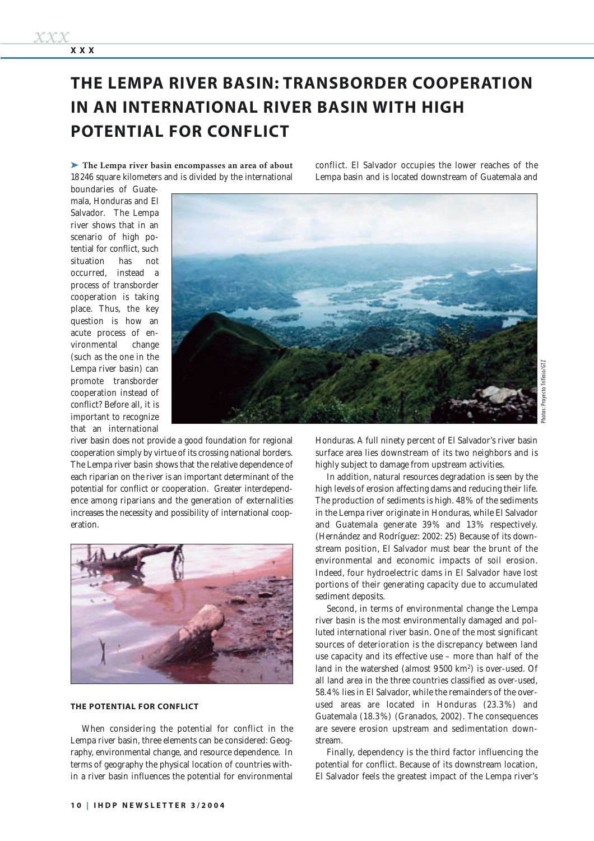➤ **The Lempa river basin encompasses an area of about**  18 246 square kilometers and is divided by the international conflict. El Salvador occupies the lower reaches of the Lempa basin and is located downstream of Guatemala and

boundaries of Guatemala, Honduras and El Salvador. The Lempa river shows that in an scenario of high potential for conflict, such situation has not occurred, instead a process of transborder cooperation is taking place. Thus, the key question is how an acute process of environmental change (such as the one in the Lempa river basin) can promote transborder cooperation instead of conflict? Before all, it is important to recognize that an international

**XXX**

*xxx*



river basin does not provide a good foundation for regional cooperation simply by virtue of its crossing national borders. The Lempa river basin shows that the relative dependence of each riparian on the river is an important determinant of the potential for conflict or cooperation. Greater interdependence among riparians and the generation of externalities increases the necessity and possibility of international cooperation.



#### **THE POTENTIAL FOR CONFLICT**

When considering the potential for conflict in the Lempa river basin, three elements can be considered: Geography, environmental change, and resource dependence. In terms of geography the physical location of countries within a river basin influences the potential for environmental Honduras. A full ninety percent of El Salvador's river basin surface area lies downstream of its two neighbors and is highly subject to damage from upstream activities.

In addition, natural resources degradation is seen by the high levels of erosion affecting dams and reducing their life. The production of sediments is high. 48% of the sediments in the Lempa river originate in Honduras, while El Salvador and Guatemala generate 39 % and 13 % respectively. (Hernández and Rodríguez: 2002: 25) Because of its downstream position, El Salvador must bear the brunt of the environmental and economic impacts of soil erosion. Indeed, four hydroelectric dams in El Salvador have lost portions of their generating capacity due to accumulated sediment deposits.

Second, in terms of environmental change the Lempa river basin is the most environmentally damaged and polluted international river basin. One of the most significant sources of deterioration is the discrepancy between land use capacity and its effective use – more than half of the land in the watershed (almost 9500 km2) is over-used. Of all land area in the three countries classified as over-used, 58.4 % lies in El Salvador, while the remainders of the overused areas are located in Honduras (23.3 %) and Guatemala (18.3%) (Granados, 2002). The consequences are severe erosion upstream and sedimentation downstream.

Finally, dependency is the third factor influencing the potential for conflict. Because of its downstream location, El Salvador feels the greatest impact of the Lempa river's